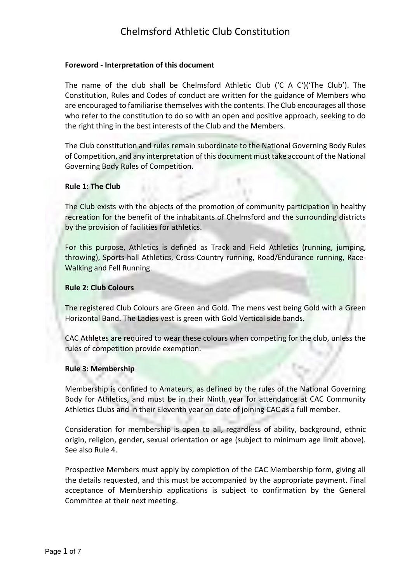### **Foreword - Interpretation of this document**

The name of the club shall be Chelmsford Athletic Club ('C A C')('The Club'). The Constitution, Rules and Codes of conduct are written for the guidance of Members who are encouraged to familiarise themselves with the contents. The Club encourages all those who refer to the constitution to do so with an open and positive approach, seeking to do the right thing in the best interests of the Club and the Members.

The Club constitution and rules remain subordinate to the National Governing Body Rules of Competition, and any interpretation of this document must take account of the National Governing Body Rules of Competition.

### **Rule 1: The Club**

The Club exists with the objects of the promotion of community participation in healthy recreation for the benefit of the inhabitants of Chelmsford and the surrounding districts by the provision of facilities for athletics.

For this purpose, Athletics is defined as Track and Field Athletics (running, jumping, throwing), Sports-hall Athletics, Cross-Country running, Road/Endurance running, Race-Walking and Fell Running.

### **Rule 2: Club Colours**

The registered Club Colours are Green and Gold. The mens vest being Gold with a Green Horizontal Band. The Ladies vest is green with Gold Vertical side bands.

CAC Athletes are required to wear these colours when competing for the club, unless the rules of competition provide exemption.

#### **Rule 3: Membership**

Membership is confined to Amateurs, as defined by the rules of the National Governing Body for Athletics, and must be in their Ninth year for attendance at CAC Community Athletics Clubs and in their Eleventh year on date of joining CAC as a full member.

Consideration for membership is open to all, regardless of ability, background, ethnic origin, religion, gender, sexual orientation or age (subject to minimum age limit above). See also Rule 4.

Prospective Members must apply by completion of the CAC Membership form, giving all the details requested, and this must be accompanied by the appropriate payment. Final acceptance of Membership applications is subject to confirmation by the General Committee at their next meeting.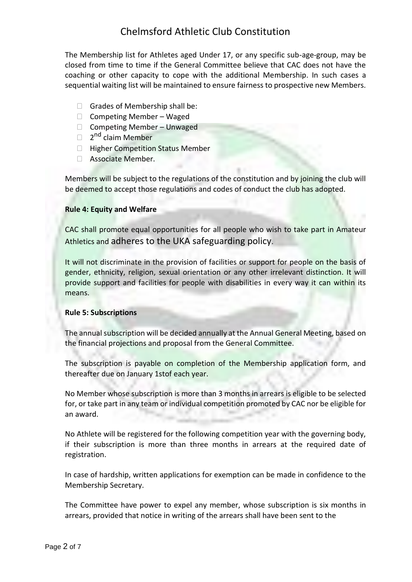The Membership list for Athletes aged Under 17, or any specific sub-age-group, may be closed from time to time if the General Committee believe that CAC does not have the coaching or other capacity to cope with the additional Membership. In such cases a sequential waiting list will be maintained to ensure fairness to prospective new Members.

- $\Box$  Grades of Membership shall be:
- $\Box$  Competing Member Waged
- □ Competing Member Unwaged
- □ 2<sup>nd</sup> claim Member
- $\Box$  Higher Competition Status Member
- Associate Member.

Members will be subject to the regulations of the constitution and by joining the club will be deemed to accept those regulations and codes of conduct the club has adopted.

#### **Rule 4: Equity and Welfare**

CAC shall promote equal opportunities for all people who wish to take part in Amateur Athletics and adheres to the UKA safeguarding policy.

It will not discriminate in the provision of facilities or support for people on the basis of gender, ethnicity, religion, sexual orientation or any other irrelevant distinction. It will provide support and facilities for people with disabilities in every way it can within its means.

### **Rule 5: Subscriptions**

The annual subscription will be decided annually at the Annual General Meeting, based on the financial projections and proposal from the General Committee.

The subscription is payable on completion of the Membership application form, and thereafter due on January 1stof each year.

No Member whose subscription is more than 3 months in arrears is eligible to be selected for, or take part in any team or individual competition promoted by CAC nor be eligible for an award.

No Athlete will be registered for the following competition year with the governing body, if their subscription is more than three months in arrears at the required date of registration.

In case of hardship, written applications for exemption can be made in confidence to the Membership Secretary.

The Committee have power to expel any member, whose subscription is six months in arrears, provided that notice in writing of the arrears shall have been sent to the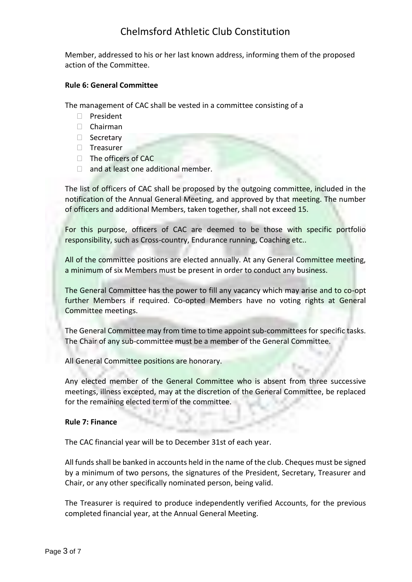Member, addressed to his or her last known address, informing them of the proposed action of the Committee.

### **Rule 6: General Committee**

The management of CAC shall be vested in a committee consisting of a

- D President
- Chairman
- □ Secretary
- □ Treasurer
- $\Box$  The officers of CAC
- □ and at least one additional member.

The list of officers of CAC shall be proposed by the outgoing committee, included in the notification of the Annual General Meeting, and approved by that meeting. The number of officers and additional Members, taken together, shall not exceed 15.

For this purpose, officers of CAC are deemed to be those with specific portfolio responsibility, such as Cross-country, Endurance running, Coaching etc..

All of the committee positions are elected annually. At any General Committee meeting, a minimum of six Members must be present in order to conduct any business.

The General Committee has the power to fill any vacancy which may arise and to co-opt further Members if required. Co-opted Members have no voting rights at General Committee meetings.

The General Committee may from time to time appoint sub-committees for specific tasks. The Chair of any sub-committee must be a member of the General Committee.

All General Committee positions are honorary.

Any elected member of the General Committee who is absent from three successive meetings, illness excepted, may at the discretion of the General Committee, be replaced for the remaining elected term of the committee.

#### **Rule 7: Finance**

The CAC financial year will be to December 31st of each year.

All funds shall be banked in accounts held in the name of the club. Cheques must be signed by a minimum of two persons, the signatures of the President, Secretary, Treasurer and Chair, or any other specifically nominated person, being valid.

The Treasurer is required to produce independently verified Accounts, for the previous completed financial year, at the Annual General Meeting.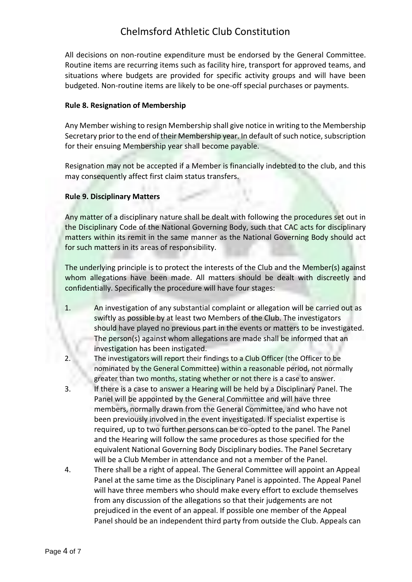All decisions on non-routine expenditure must be endorsed by the General Committee. Routine items are recurring items such as facility hire, transport for approved teams, and situations where budgets are provided for specific activity groups and will have been budgeted. Non-routine items are likely to be one-off special purchases or payments.

## **Rule 8. Resignation of Membership**

Any Member wishing to resign Membership shall give notice in writing to the Membership Secretary prior to the end of their Membership year. In default of such notice, subscription for their ensuing Membership year shall become payable.

Resignation may not be accepted if a Member is financially indebted to the club, and this may consequently affect first claim status transfers.

## **Rule 9. Disciplinary Matters**

Any matter of a disciplinary nature shall be dealt with following the procedures set out in the Disciplinary Code of the National Governing Body, such that CAC acts for disciplinary matters within its remit in the same manner as the National Governing Body should act for such matters in its areas of responsibility.

The underlying principle is to protect the interests of the Club and the Member(s) against whom allegations have been made. All matters should be dealt with discreetly and confidentially. Specifically the procedure will have four stages:

- 1. An investigation of any substantial complaint or allegation will be carried out as swiftly as possible by at least two Members of the Club. The investigators should have played no previous part in the events or matters to be investigated. The person(s) against whom allegations are made shall be informed that an investigation has been instigated.
- 2. The investigators will report their findings to a Club Officer (the Officer to be nominated by the General Committee) within a reasonable period, not normally greater than two months, stating whether or not there is a case to answer.
- 3. If there is a case to answer a Hearing will be held by a Disciplinary Panel. The Panel will be appointed by the General Committee and will have three members, normally drawn from the General Committee, and who have not been previously involved in the event investigated. If specialist expertise is required, up to two further persons can be co-opted to the panel. The Panel and the Hearing will follow the same procedures as those specified for the equivalent National Governing Body Disciplinary bodies. The Panel Secretary will be a Club Member in attendance and not a member of the Panel.
- 4. There shall be a right of appeal. The General Committee will appoint an Appeal Panel at the same time as the Disciplinary Panel is appointed. The Appeal Panel will have three members who should make every effort to exclude themselves from any discussion of the allegations so that their judgements are not prejudiced in the event of an appeal. If possible one member of the Appeal Panel should be an independent third party from outside the Club. Appeals can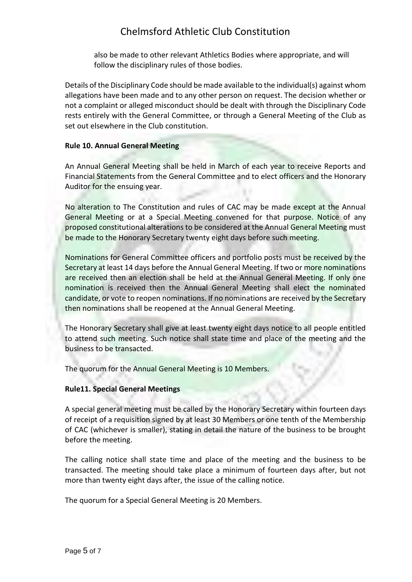also be made to other relevant Athletics Bodies where appropriate, and will follow the disciplinary rules of those bodies.

Details of the Disciplinary Code should be made available to the individual(s) against whom allegations have been made and to any other person on request. The decision whether or not a complaint or alleged misconduct should be dealt with through the Disciplinary Code rests entirely with the General Committee, or through a General Meeting of the Club as set out elsewhere in the Club constitution.

## **Rule 10. Annual General Meeting**

An Annual General Meeting shall be held in March of each year to receive Reports and Financial Statements from the General Committee and to elect officers and the Honorary Auditor for the ensuing year.

No alteration to The Constitution and rules of CAC may be made except at the Annual General Meeting or at a Special Meeting convened for that purpose. Notice of any proposed constitutional alterations to be considered at the Annual General Meeting must be made to the Honorary Secretary twenty eight days before such meeting.

Nominations for General Committee officers and portfolio posts must be received by the Secretary at least 14 days before the Annual General Meeting. If two or more nominations are received then an election shall be held at the Annual General Meeting. If only one nomination is received then the Annual General Meeting shall elect the nominated candidate, or vote to reopen nominations. If no nominations are received by the Secretary then nominations shall be reopened at the Annual General Meeting.

The Honorary Secretary shall give at least twenty eight days notice to all people entitled to attend such meeting. Such notice shall state time and place of the meeting and the business to be transacted.

The quorum for the Annual General Meeting is 10 Members.

## **Rule11. Special General Meetings**

A special general meeting must be called by the Honorary Secretary within fourteen days of receipt of a requisition signed by at least 30 Members or one tenth of the Membership of CAC (whichever is smaller), stating in detail the nature of the business to be brought before the meeting.

The calling notice shall state time and place of the meeting and the business to be transacted. The meeting should take place a minimum of fourteen days after, but not more than twenty eight days after, the issue of the calling notice.

The quorum for a Special General Meeting is 20 Members.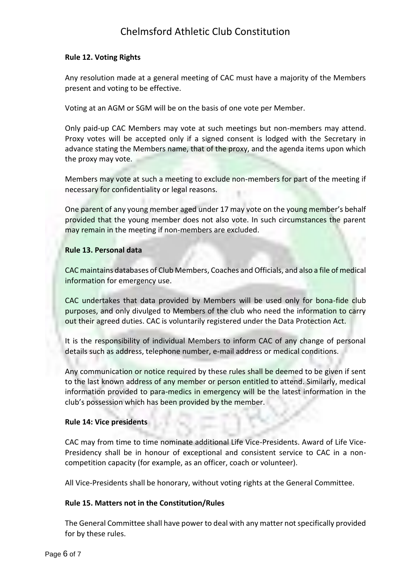### **Rule 12. Voting Rights**

Any resolution made at a general meeting of CAC must have a majority of the Members present and voting to be effective.

Voting at an AGM or SGM will be on the basis of one vote per Member.

Only paid-up CAC Members may vote at such meetings but non-members may attend. Proxy votes will be accepted only if a signed consent is lodged with the Secretary in advance stating the Members name, that of the proxy, and the agenda items upon which the proxy may vote.

Members may vote at such a meeting to exclude non-members for part of the meeting if necessary for confidentiality or legal reasons.

One parent of any young member aged under 17 may vote on the young member's behalf provided that the young member does not also vote. In such circumstances the parent may remain in the meeting if non-members are excluded.

## **Rule 13. Personal data**

CAC maintains databases of Club Members, Coaches and Officials, and also a file of medical information for emergency use.

CAC undertakes that data provided by Members will be used only for bona-fide club purposes, and only divulged to Members of the club who need the information to carry out their agreed duties. CAC is voluntarily registered under the Data Protection Act.

It is the responsibility of individual Members to inform CAC of any change of personal details such as address, telephone number, e-mail address or medical conditions.

Any communication or notice required by these rules shall be deemed to be given if sent to the last known address of any member or person entitled to attend. Similarly, medical information provided to para-medics in emergency will be the latest information in the club's possession which has been provided by the member.

## **Rule 14: Vice presidents**

CAC may from time to time nominate additional Life Vice-Presidents. Award of Life Vice-Presidency shall be in honour of exceptional and consistent service to CAC in a noncompetition capacity (for example, as an officer, coach or volunteer).

All Vice-Presidents shall be honorary, without voting rights at the General Committee.

## **Rule 15. Matters not in the Constitution/Rules**

The General Committee shall have power to deal with any matter not specifically provided for by these rules.